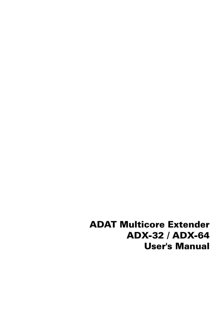ADAT Multicore Extender ADX-32 / ADX-64 User's Manual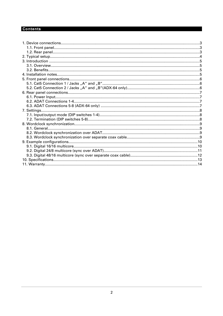# **Contents**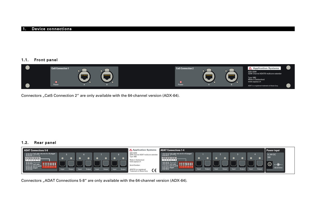#### 1. Device connections

#### 1.1. Front panel



Connectors "Cat5 Connection 2" are only available with the 64-channel version (ADX-64).

#### 1.2. Rear panel



Connectors "ADAT Connections 5-8" are only available with the 64-channel version (ADX-64).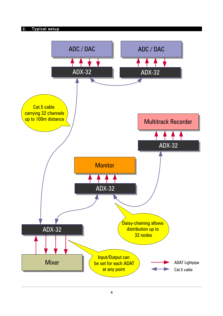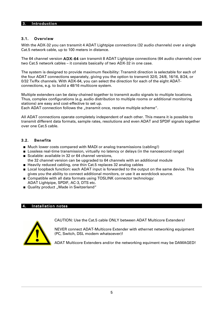#### 3. Introduction

#### 3.1. Overview

With the ADX-32 you can transmit 4 ADAT Lightpipe connections (32 audio channels) over a single Cat.5 network cable, up to 100 meters in distance.

The 64 channel version ADX-64 can transmit 8 ADAT Lightpipe connections (64 audio channels) over two Cat.5 network cables – it consists basically of two ADX-32 in one case.

The system is designed to provide maximum flexibility: Transmit direction is selectable for each of the four ADAT connections separately, giving you the option to transmit 32/0, 24/8, 16/16, 8/24, or 0/32 Tx/Rx channels. With ADX-64, you can select the direction for each of the eight ADATconnections, e.g. to build a 48/16 multicore system.

Multiple extenders can be daisy-chained together to transmit audio signals to multiple locations. Thus, complex configurations (e.g. audio distribution to multiple rooms or additional monitoring stations) are easy and cost-effective to set up.

Each ADAT connection follows the "transmit once, receive multiple scheme".

All ADAT connections operate completely independent of each other. This means it is possible to transmit different data formats, sample rates, resolutions and even ADAT and SPDIF signals together over one Cat.5 cable.

#### 3.2. Benefits

- Much lower costs compared with MADI or analog transmissions (cabling!)
- **Lossless real-time transmission, virtually no latency or delays (in the nanosecond range)**
- Scalable: available in 32 or 64 channel versions,
- the 32 channel version can be upgraded to 64 channels with an additional module
- Heavily reduced cabling, one thin Cat.5 replaces 32 analog cables
- **Local loopback function: each ADAT input is forwarded to the output on the same device. This** gives you the ability to connect additional monitors, or use it as wordclock source.
- Compatible with all data formats using TOSLINK connector technology: ADAT Lightpipe, SPDIF, AC-3, DTS etc.
- Quality product "Made in Switzerland"

#### 4. Installation notes

CAUTION: Use the Cat.5 cable ONLY between ADAT Multicore Extenders!

NEVER connect ADAT-Multicore Extender with ethernet networking equipment (PC, Switch, DSL modem whatsoever)!

ADAT Multicore Extenders and/or the networking equiment may be DAMAGED!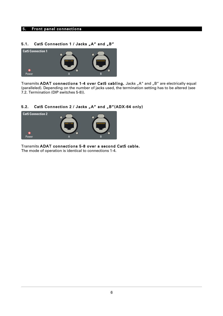#### 5. Front panel connections

#### 5.1. Cat5 Connection 1 / Jacks "A" and "B"



Transmits ADAT connections 1-4 over Cat5 cabling. Jacks "A" and "B" are electrically equal (paralleled). Depending on the number of jacks used, the termination setting has to be altered (see [7.2. Termination \(DIP switches 5-8\)\)](#page-7-0).

# 5.2. Cat5 Connection 2 / Jacks "A" and "B"(ADX-64 only)



Transmits ADAT connections 5-8 over a second Cat5 cable. The mode of operation is identical to connections 1-4.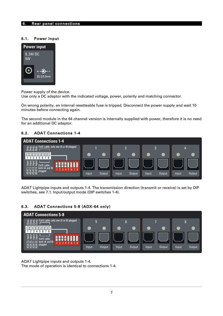## 6. Rear panel connections

#### 6.1. Power Input



Power supply of the device.

Use only a DC adaptor with the indicated voltage, power, polarity and matching connector.

On wrong polarity, an internal resetteable fuse is tripped. Disconnect the power supply and wait 10 minutes before connecting again.

The second module in the 64 channel version is internally supplied with power, therefore it is no need for an additional DC adaptor.

#### 6.2. ADAT Connections 1-4



ADAT Lightpipe inputs and outputs 1-4. The transmission direction (transmit or receive) is set by DIP switches, see [7.1. Input/output mode \(DIP switches 1-4\).](#page-7-1)

#### 6.3. ADAT Connections 5-8 (ADX-64 only)



ADAT Lightpipe inputs and outputs 1-4. The mode of operation is identical to connections 1-4.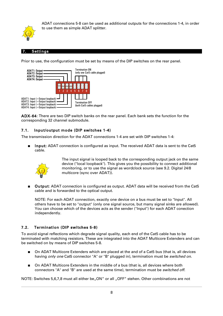

ADAT connections 5-8 can be used as additional outputs for the connections 1-4, in order to use them as simple ADAT splitter.

#### **Settings**

Prior to use, the configuration must be set by means of the DIP switches on the rear panel.



ADX-64: There are two DIP switch banks on the rear panel. Each bank sets the function for the corresponding 32 channel submodule.

# <span id="page-7-1"></span>7.1. Input/output mode (DIP switches 1-4)

The transmission direction for the ADAT connections 1-4 are set with DIP switches 1-4:

**Input:** ADAT connection is configured as input. The received ADAT data is sent to the Cat5 cable.



The input signal is looped back to the corresponding output jack on the same device ("local loopback"). This gives you the possibility to connect additional monitoring, or to use the signal as wordclock source (see [9.2. Digital 24/8](#page-10-0) [multicore \(sync over ADAT\)\)](#page-10-0).

■ Output: ADAT connection is configured as output. ADAT data will be received from the Cat5 cable and is forwarded to the optical output.

NOTE: For each ADAT connection, exactly one device on a bus must be set to "Input". All others have to be set to "output" (only one signal source, but many signal sinks are allowed). You can choose which of the devices acts as the sender ("Input") for each ADAT conection independently.

#### <span id="page-7-0"></span>7.2. Termination (DIP switches 5-8)

To avoid signal reflections which degrade signal quality, each end of the Cat5 cable has to be terminated with matching resistors. These are integrated into the ADAT Multicore Extenders and can be switched on by means of DIP switches 5-8.

- On ADAT Multicore Extenders which are placed at the and of a Cat5 bus (that is, all devices having only one Cat5 connector "A" or "B" plugged in), termination must be switched on.
- On ADAT Multicore Extenders in the middle of a bus (that is, all devices where both connectors "A" and "B" are used at the same time), termination must be *switched off.*

NOTE: Switches 5,6,7,8 must all either be. ON" or all . OFF" stehen. Other combinations are not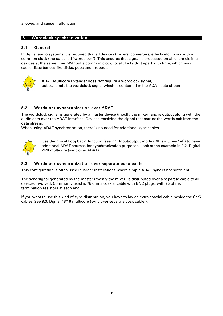allowed and cause malfunction.

#### 8. Wordclock synchronization

#### 8.1. General

In digital audio systems it is required that all devices (mixers, converters, effects etc.) work with a common clock (the so-called "wordclock"). This ensures that signal is processed on all channels in all devices at the same time. Without a common clock, local clocks drift apart with time, which may cause disturbances like clicks, pops and dropouts.



ADAT Multicore Extender does not require a wordclock signal, but transmits the wordclock signal which is contained in the ADAT data stream.

# 8.2. Wordclock synchronization over ADAT

The wordclock signal is generated by a master device (mostly the mixer) and is output along with the audio data over the ADAT interface. Devices receiving the signal reconstruct the wordclock from the data stream.

When using ADAT synchronzation, there is no need for additional sync cables.



Use the "Local Loopback" function (see [7.1. Input/output mode \(DIP switches 1-4\)\)](#page-7-1) to have additional ADAT sources for synchronization purposes. Look at the example in [9.2. Digital](#page-10-0) [24/8 multicore \(sync over ADAT\).](#page-10-0)

#### 8.3. Wordclock synchronization over separate coax cable

This configuration is often used in larger installations where simple ADAT sync is not sufficient.

The sync signal generated by the master (mostly the mixer) is distributed over a separate cable to all devices involved. Commonly used is 75 ohms coaxial cable with BNC plugs, with 75 ohms termination resistors at each end.

If you want to use this kind of sync distribution, you have to lay an extra coaxial cable beside the Cat5 cables (see [9.3. Digital 48/16 multicore \(sync over separate coax cable\)\)](#page-11-0).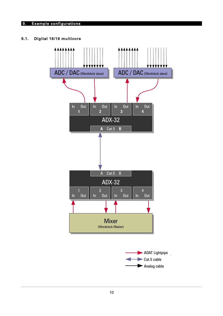# 9. Example configurations

# 9.1. Digital 16/16 multicore



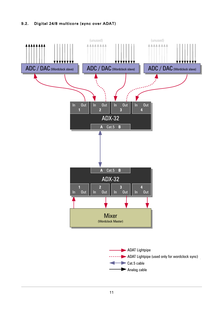# <span id="page-10-0"></span>9.2. Digital 24/8 multicore (sync over ADAT)



11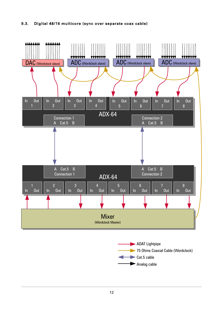# <span id="page-11-0"></span>9.3. Digital 48/16 multicore (sync over separate coax cable)



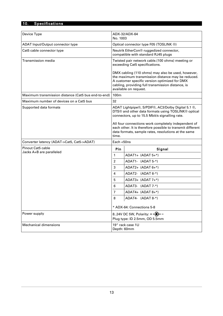# 10. Specifications

| Device Type                                          | ADX-32/ADX-64                                                                                                                                                                                                                                                                                                                                   |                      |  |
|------------------------------------------------------|-------------------------------------------------------------------------------------------------------------------------------------------------------------------------------------------------------------------------------------------------------------------------------------------------------------------------------------------------|----------------------|--|
|                                                      | No. 1003                                                                                                                                                                                                                                                                                                                                        |                      |  |
| ADAT Input/Output connector type                     | Optical connector type F05 (TOSLINK ®)                                                                                                                                                                                                                                                                                                          |                      |  |
| Cat5 cable connector type                            | Neutrik EtherCon® ruggedized connector,<br>compatible with standard RJ45 plugs                                                                                                                                                                                                                                                                  |                      |  |
| Transmission media                                   | Twisted pair network cable.(100 ohms) meeting or<br>exceeding Cat5 specifications.                                                                                                                                                                                                                                                              |                      |  |
|                                                      | DMX cabling (110 ohms) may also be used, however,<br>the maximum transmission distance may be reduced.<br>A customer specific version optimized for DMX<br>cabling, providing full transmission distance, is<br>available on request.                                                                                                           |                      |  |
| Maximum transmission distance (Cat5 bus end-to-end)  | 100m                                                                                                                                                                                                                                                                                                                                            |                      |  |
| Maximum number of devices on a Cat5 bus              | 32                                                                                                                                                                                                                                                                                                                                              |                      |  |
| Supported data formats                               | ADAT Lightpipe®, S/PDIF®, AC3/Dolby Digital 5.1 ®,<br>DTS® and other data formats using TOSLINK® optical<br>connectors, up to 15.5 Mbit/s signalling rate.<br>All four connections work completely independent of<br>each other. It is therefore possible to transmit different<br>data formats, sample rates, resolutions at the same<br>time. |                      |  |
| Converter latency (ADAT->Cat5, Cat5->ADAT)           | Each <50ns                                                                                                                                                                                                                                                                                                                                      |                      |  |
| <b>Pinout Cat5 cable</b><br>Jacks A+B are paralleled | Pin<br>Signal                                                                                                                                                                                                                                                                                                                                   |                      |  |
|                                                      | 1                                                                                                                                                                                                                                                                                                                                               | $ADAT1+ (ADAT 5+*)$  |  |
|                                                      | $\overline{2}$                                                                                                                                                                                                                                                                                                                                  | ADAT1- (ADAT 5-*)    |  |
|                                                      | 3                                                                                                                                                                                                                                                                                                                                               | $ADAT2+ (ADAT 6+*)$  |  |
|                                                      | 4                                                                                                                                                                                                                                                                                                                                               | ADAT2- (ADAT 6-*)    |  |
|                                                      | 5                                                                                                                                                                                                                                                                                                                                               | $ADAT3+ (ADAT7+*)$   |  |
|                                                      | 6                                                                                                                                                                                                                                                                                                                                               | ADAT3- (ADAT 7-*)    |  |
|                                                      | 7                                                                                                                                                                                                                                                                                                                                               | $ADAT4+ (ADAT 8+*)$  |  |
|                                                      | 8                                                                                                                                                                                                                                                                                                                                               | $ ADAT4- (ADAT 8-*)$ |  |
|                                                      | * ADX-64: Connections 5-8                                                                                                                                                                                                                                                                                                                       |                      |  |
| Power supply                                         | 824V DC 5W, Polarity: $+$ $\rightarrow$<br>Plug type: ID 2.5mm, OD 5.5mm                                                                                                                                                                                                                                                                        |                      |  |
| <b>Mechanical dimensions</b>                         | 19" rack case 1U<br>Depth: 60mm                                                                                                                                                                                                                                                                                                                 |                      |  |